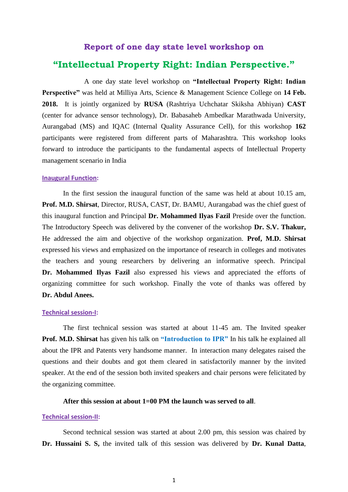# **Report of one day state level workshop on "Intellectual Property Right: Indian Perspective."**

A one day state level workshop on **"Intellectual Property Right: Indian Perspective"** was held at Milliya Arts, Science & Management Science College on **14 Feb. 2018.** It is jointly organized by **RUSA** (Rashtriya Uchchatar Skiksha Abhiyan) **CAST** (center for advance sensor technology), Dr. Babasaheb Ambedkar Marathwada University, Aurangabad (MS) and IQAC (Internal Quality Assurance Cell), for this workshop **162**  participants were registered from different parts of Maharashtra. This workshop looks forward to introduce the participants to the fundamental aspects of Intellectual Property management scenario in India

#### **Inaugural Function:**

In the first session the inaugural function of the same was held at about 10.15 am, **Prof. M.D. Shirsat**, Director, RUSA, CAST, Dr. BAMU, Aurangabad was the chief guest of this inaugural function and Principal **Dr. Mohammed Ilyas Fazil** Preside over the function. The Introductory Speech was delivered by the convener of the workshop **Dr. S.V. Thakur,** He addressed the aim and objective of the workshop organization. **Prof, M.D. Shirsat** expressed his views and emphasized on the importance of research in colleges and motivates the teachers and young researchers by delivering an informative speech. Principal **Dr. Mohammed Ilyas Fazil** also expressed his views and appreciated the efforts of organizing committee for such workshop. Finally the vote of thanks was offered by **Dr. Abdul Anees.** 

#### **Technical session-I:**

The first technical session was started at about 11-45 am. The Invited speaker **Prof. M.D. Shirsat** has given his talk on **"Introduction to IPR"** In his talk he explained all about the IPR and Patents very handsome manner. In interaction many delegates raised the questions and their doubts and got them cleared in satisfactorily manner by the invited speaker. At the end of the session both invited speakers and chair persons were felicitated by the organizing committee.

#### **After this session at about 1=00 PM the launch was served to all**.

#### **Technical session-II:**

Second technical session was started at about 2.00 pm, this session was chaired by **Dr. Hussaini S. S,** the invited talk of this session was delivered by **Dr. Kunal Datta**,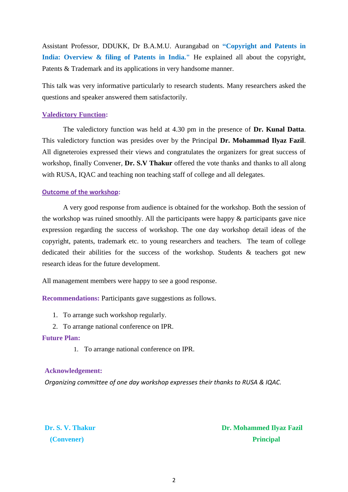Assistant Professor, DDUKK, Dr B.A.M.U. Aurangabad on **"Copyright and Patents in India: Overview & filing of Patents in India."** He explained all about the copyright, Patents & Trademark and its applications in very handsome manner.

This talk was very informative particularly to research students. Many researchers asked the questions and speaker answered them satisfactorily.

#### **Valedictory Function:**

The valedictory function was held at 4.30 pm in the presence of **Dr. Kunal Datta**. This valedictory function was presides over by the Principal **Dr. Mohammad Ilyaz Fazil**. All digneteroies expressed their views and congratulates the organizers for great success of workshop, finally Convener, **Dr. S.V Thakur** offered the vote thanks and thanks to all along with RUSA, IQAC and teaching non teaching staff of college and all delegates.

#### **Outcome of the workshop:**

A very good response from audience is obtained for the workshop. Both the session of the workshop was ruined smoothly. All the participants were happy & participants gave nice expression regarding the success of workshop. The one day workshop detail ideas of the copyright, patents, trademark etc. to young researchers and teachers. The team of college dedicated their abilities for the success of the workshop. Students & teachers got new research ideas for the future development.

All management members were happy to see a good response.

**Recommendations:** Participants gave suggestions as follows.

- 1. To arrange such workshop regularly.
- 2. To arrange national conference on IPR.

#### **Future Plan:**

1. To arrange national conference on IPR.

#### **Acknowledgement:**

*Organizing committee of one day workshop expresses their thanks to RUSA & IQAC.* 

**Dr. S. V. Thakur Dr. Mohammed Ilyaz Fazil (Convener) Principal**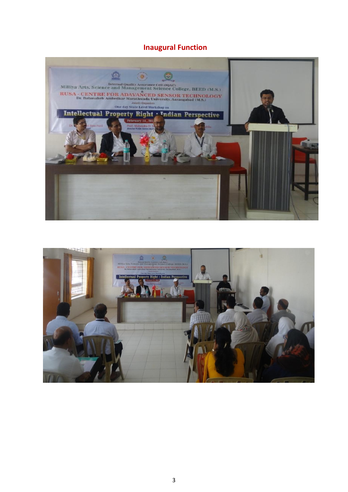### **Inaugural Function**